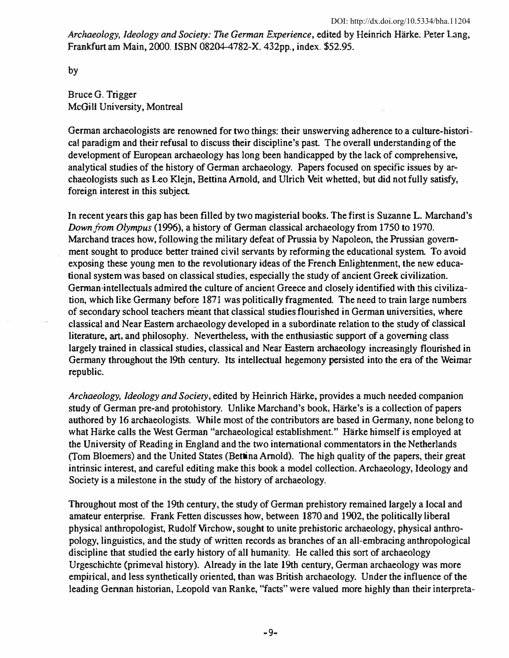Archaeology, Ideology and Society: The German Experience, edited by Heinrich Härke. Peter Lang, Frankfurt am Main, 2000. ISBN 08204-4782-X. 432pp., index. \$52.95.

by

Bruce G. Trigger McGiII University, Montreal

German archaeologists are renowned for two things: their unswerving adherence to a culture-historical paradigm and their refusal to discuss their discipline's past. The overall understanding of the development of European archaeology has long been handicapped by the lack of comprehensive, analytical studies of the history of German archaeology. Papers focused on specific issues by archaeologists such as Leo Klejn, Bettina Arnold, and Ulrich Veit whetted, but did not fully satisfy, foreign interest in this subject.

In recent years this gap has been filled by two magisterial books. The first is Suzanne L. Marchand's Down from Olympus (1996), a history of German classical archaeology from 1750 to 1970. Marchand traces how, following the military defeat of Prussia by Napoleon, the Prussian government sought to produce better trained civil servants by reforming the educational system. To avoid exposing these young men to the revolutionary ideas of the French Enligbtenment, the new educational system was based on classical studies, especially the study of ancient Greek civilization. German·intellectuals admired the culture of ancient Greece and closely identified with this civilization, which like Germany before 1871 was politically fragmented. The need to train large numbers of secondary school teachers meant that classical studies flourished in German universities, where classical and Near Eastern archaeology developed in a subordinate relation to the study of classical literature, art, and philosophy. Nevertheless, with the enthusiastic support of a governing class largely trained in classical studies, classical and Near Eastern archaeology increasingly flourished in Germany throughout the 19th century. Its intellectual hegemony persisted into the era of the Weimar republic.

Archaeology, Ideology and Society, edited by Heinrich Härke, provides a much needed companion study of German pre-and protohistory. Unlike Marchand's book, Härke's is a collection of papers authored by 16 archaeologists. While most of the contributors are based in Germany, none belong to what Härke calls the West German "archaeological establishment." Härke himself is employed at the University of Reading in England and the two international commentators in the Netherlands (fom Bloemers) and the United States (Bellina Arnold). The high quality of the papers, their great intrinsic interest, and careful editing make this book a model collection. Archaeology, Ideology and Society is a milestone in the study of the history of archaeology.

Throughout most of the 19th century, the study of German prehistory remained largely a local and amateur enterprise. Frank Fetten discusses how, between 1870 and 1902, the politically liberal physical anthropologist, RudolfVirchow, sought to unite prehistoric archaeology, physical anthropology, linguistics, and the study of written records as branches of an all-embracing anthropological discipline that studied the early history of all humanity. He called this sort of archaeology Urgeschichte (primeval history). Already in the late 19th century, German archaeology was more empirical, and less synthetically oriented, than was British archaeology. Under the influence of the leading Gennan historian, Leopold van Ranke, "facts" were valued more highly than their interpreta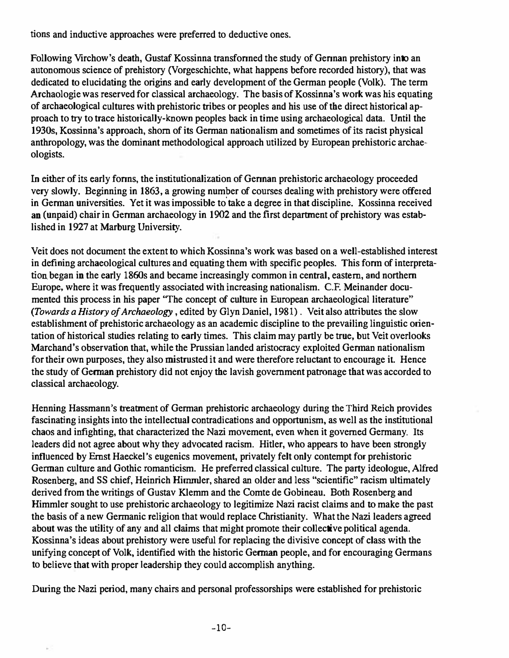tions and inductive approaches were preferred to deductive ones.

Following Virchow's death, Gustaf Kossinna transformed the study of German prehistory into an autonomous science of prehistory (Vorgeschichte, what happens before recorded history), that was dedicated to elucidating the origins and early development of the German people (Yolk). The term Archaologie was reserved for classical archaeology. The basis of Kossinna's work was his equating of archaeological cultures with prehistoric tribes or peoples and his use of the direct historical approach to try to trace historically-known peoples back in time using archaeological data. Until the 1930s, Kossinna's approach, shorn of its German nationalism and sometimes of its racist physical anthropology, was the dominant methodological approach utilized by European prehistoric archaeologists.

In either of its early fonns, the institutionalization of Gennan prehistoric archaeology proceeded very slowly. Beginning in 1863, a growing number of courses dealing with prehistory were offered in Gennan universities. Yet it was impossible to' take a degree in that discipline. Kossinna received an (unpaid) chair in German archaeology in 1902 and the first department of prehistory was established in 1927 at Marburg University.

Veit does not document the extent to which Kossinna's work was based on a well-established interest in defining archaeological cultures and equating them with specific peoples. This fonn of interpretation began in the early 1860s and became increasingly common in central, eastern, and northern Europe, where it was frequently associated with increasing nationalism. c.P. Meinander documented this process in his paper "The concept of culture in European archaeological literature" (Towards a History of Archaeology, edited by Glyn Daniel, 1981). Veit also attributes the slow establishment of prehistoric archaeology as an academic discipline to the prevailing linguistic orientation of historical studies relating to early times. This claim may partly be true, but Veit overlooks Marchand's observation that, while the Prussian landed aristocracy exploited German nationalism for their own purposes, they also mistrusted it and were therefore reluctant to encourage it. Hence the study of Gennan prehistory did not enjoy the lavish government patronage that was accorded to classical archaeology.

Henning Hassmann's treatment of German prehistoric archaeology during the Third Reich provides fascinating insights into the intellectual contradications and opportunism, as well as the institutional chaos and infighting, that characterized the Nazi movement, even when it governed Germany. Its leaders did not agree about why they advocated racism. Hitler, who appears to have been strongly influenced by Ernst Haeckel's eugenics movement, privately felt only contempt for prehistoric German culture and Gothic romanticism. He preferred classical culture. The party ideologue, Alfred Rosenberg, and SS chief, Heinrich Himmler, shared an older and less "scientific" racism ultimately derived from the writings of Gustav Klemm and the Comte de Gobineau. Both Rosenberg and Himmler sought to use prehistoric archaeology to legitimize Nazi racist claims and to make the past the basis of a new Germanic religion that would replace Christianity. What the Nazi leaders agreed about was the utility of any and all claims that might promote their collective political agenda. Kossinna's ideas about prehistory were useful for replacing the divisive concept of class with the unifying concept of Yolk, identified with the historic Gennan people, and for encouraging Germans to believe that with proper leadership they could accomplish anything.

Dwing the Nazi period, many chairs and personal professorships were established for prehistoric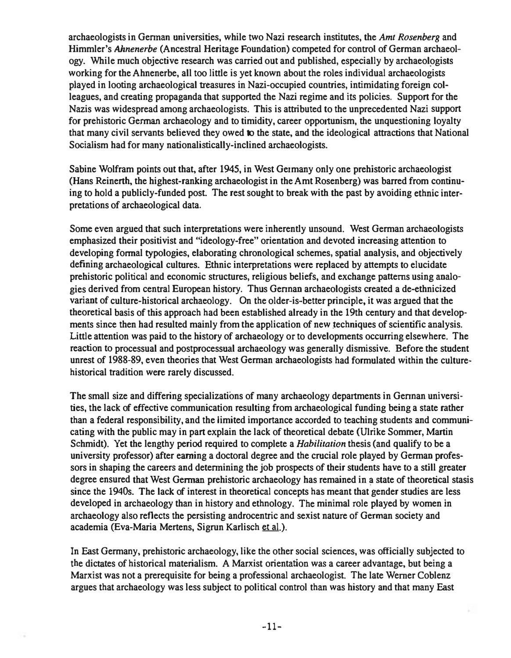archaeologists in German universities, while two Nazi research institutes, the Ami Rosenberg and Himmler's Ahnenerbe (Ancestral Heritage Foundation) competed for control of German archaeology. While much objective research was carried out and published, especially by archaeologists working for the Ahnenerbe, all too little is yet known about the roles individual archaeologists played in looting archaeological treasures in Nazi-occupied countries, intimidating foreign colleagues, and creating propaganda that supported the Nazi regime and its policies. Support for the Nazis was widespread among archaeologists. This is attributed to the unprecedented Nazi support for prehistoric German archaeology and to timidity, career opportunism, the unquestioning loyalty that many civil servants believed they owed to the state, and the ideological attractions that National Socialism had for many nationalistically-inclined archaeologists.

Sabine Wolfram points out that, after 1945, in West Germany only one prehistoric archaeologist (Hans Reinerth, the highest-ranking archaeologist in the Amt Rosenberg) was barred from continuing to hold a publicly-funded post. The rest sought to break with the past by avoiding ethnic interpretations of archaeological data.

Some even argued that such interpretations were inherently unsound. West German archaeologists emphasized their positivist and "ideology-free" orientation and devoted increasing attention to developing formal typologies, elaborating chronological schemes, spatial analysis, and objectively defining archaeological cultures. Ethnic interpretations were replaced by attempts to elucidate prehistoric political and economic structures, religious beliefs, and exchange patterns using analogies derived from central European history. Thus Gennan archaeologists created a de-ethnicized variant of culture-historical archaeology. On the older-is-better principle, it was argued that the theoretical basis of this approach had been established already in the 19th century and that developments since then had resulted mainly from the application of new lechniques of scientific analysis. Little attention was paid to the history of archaeology or to developments occurring elsewhere. The reaction to processual and postprocessual archaeology was generally dismissive. Before the student unrest of 1988-89, even theories that West German archaeologists had formulated within the culturehistorical tradition were rarely discussed.

The small size and differing specializations of many archaeology departments in Gennan universities, the lack of effective communication resulting from archaeological funding being a state rather than a federal responsibility, and the limited importance accorded to teaching students and communicating with the public may in part explain the lack of theoretical debate (Ulrike Sommer, Martin Schmidt). Yet the lengthy period required to complete a *Habilitation* thesis (and qualify to be a university professor) after earning a doctoral degree and the crucial role played by German professors in shaping the careers and detennining the job prospects of their students have to a still greater degree ensured that West German prehistoric archaeology has remained in a state of theoretical stasis since the 194Os. The lack of interest in theoretical concepts has meant that gender studies are less developed in archaeology than in history and ethnology. The minimal role played by women in archaeology also reflects the persisting androcentric and sexist nature of German society and academia (Eva-Maria Mertens, Sigrun Karlisch et al.).

In East Germany, prehistoric archaeology. like the other social sciences, was officially subjected to the dictates of historical materialism. A Marxist orientation was a career advantage, but being a Marxist was not a prerequisite for being a professional archaeologist. The late Werner Coblenz argues that archaeology was less subject to political control than was history and that many East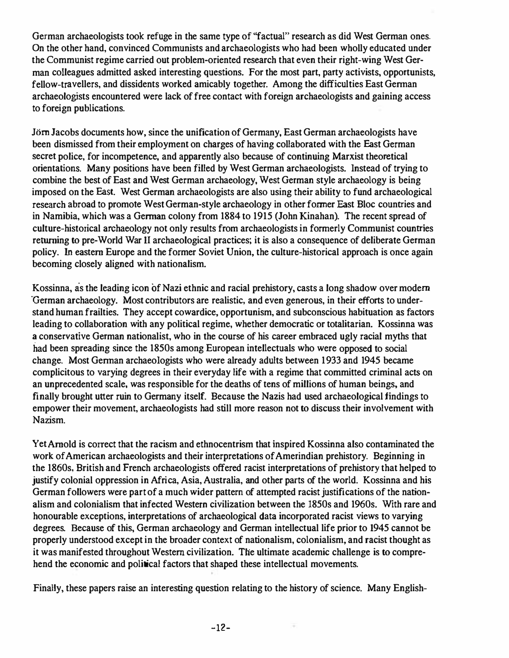German archaeologists took refuge in the same type of "factual" research as did West German ones. On the other hand, convinced Communists and archaeologists who had been wholly educated under the Communist regime carried out problem-oriented research that even their right-wing West German colleagues admitted asked interesting questions. For the most part, party activists, opportunists, fellow-travellers, and dissidents worked amicably together. Among the difficulties East Gennan archaeologists encountered were lack of free contact with foreign archaeologists and gaining access to foreign publications.

Jörn Jacobs documents how, since the unification of Germany, East German archaeologists have been dismissed from their employment on charges of having collaborated with the East German secret police, for incompetence, and apparently also because of continuing Marxist theoretical orientations. Many positions have been filled by West German archaeologists. lnstead of trying to combine the best of East and West German archaeology, West German style archaeology is being imposed on the East. West German archaeologists are also using their ability to fund archaeological research abroad to promote West German-style archaeology in other former East Bloc countries and in Namibia, which was a Gennan colony from 1884 to 1915 (John Kinahan). The recent spread of culture-historical archaeology not only results from archaeologists in formerly Communist countries returning to pre-World War 11 archaeological practices; it is also a consequence of deliberate German policy. In eastern Europe and the former Soviet Union. the culture-historical approach is once again becoming closely aligned with nationalism.

Kossinna, as the leading icon of Nazi ethnic and racial prehistory, casts a long shadow over modern "German archaeology. Most contributors are realistic, and even generous, in their efforts to understand human frailties. They accept cowardice. opportunism, and subconscious habituation as factors leading to collaboration with any political regime. whether democratic or totalitarian. Kossinna was � conservative German nationalist, who in the course of his career embraced ugly racial myths that had been spreading since the 1850s among European intellectuals who were opposed to social change. Most Gennan archaeologists who were already adults between 1 933 and 1945 became complicitous to varying degrees in their everyday life with a regime that committed criminal acts on an unprecedented scale. was responsible for the deaths of tens of millions of human beings, and finally brought utter ruin to Germany itself. Because the Nazis had used archaeological findings to empower their movement, archaeologists had still more reason not to discuss their involvement with Nazism.

Yet Arnold is correct that the racism and ethnocentrism that inspired Kossinna also contaminated the work of American archaeologists and their interpretations of Amerindian prehistory. Beginning in the 1860s, British and French archaeologists offered racist interpretations of prehistory that helped to justify colonial oppression in Africa, Asia, Australia, and other parts of the world. Kossinna and his German followers were part of a much wider pattern of attempted racist justifications of the nationalism and colonialism that infected Western civilization between the 1850s and 1960s. With rare and honourable exceptions, interpretations of archaeological data incorporated racist views to varying degrees. Because of this, German archaeology and German intellectual life prior to 1945 cannot be properly understood except in the broader context of nationalism, colonialism. and racist thought as it was manifested throughout Western civilization. The ultimate academic challenge is to comprehend the economic and political factors that shaped these intellectual movements.

Finally. these papers raise an interesting question relating to the history of science. Many English-

-12-